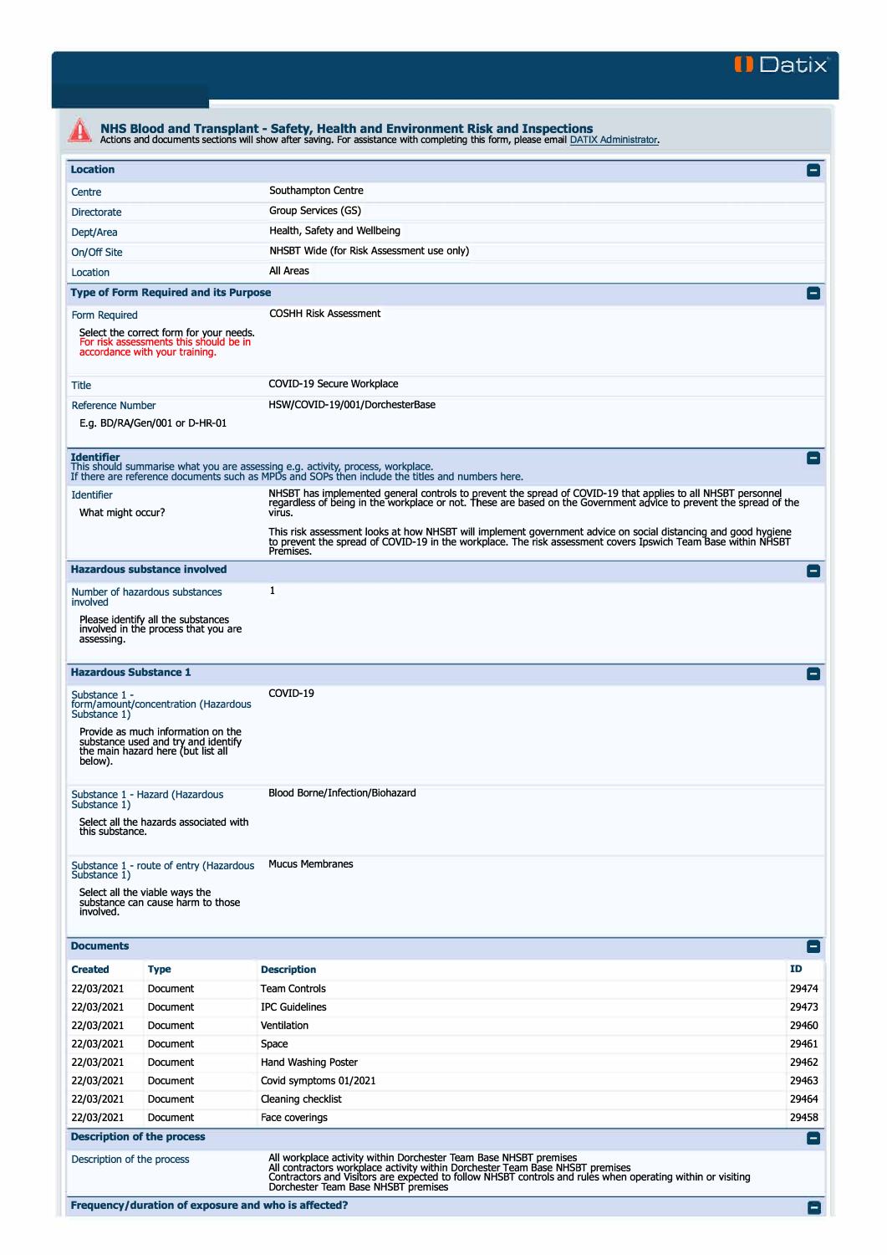

| <b>Location</b>                        |                                                                                                                     |                                                                                                                                                                                                                                              | $\vert - \vert$ |
|----------------------------------------|---------------------------------------------------------------------------------------------------------------------|----------------------------------------------------------------------------------------------------------------------------------------------------------------------------------------------------------------------------------------------|-----------------|
| Centre                                 |                                                                                                                     | Southampton Centre                                                                                                                                                                                                                           |                 |
| <b>Directorate</b>                     |                                                                                                                     | Group Services (GS)                                                                                                                                                                                                                          |                 |
| Dept/Area                              |                                                                                                                     | Health, Safety and Wellbeing                                                                                                                                                                                                                 |                 |
| On/Off Site                            |                                                                                                                     | NHSBT Wide (for Risk Assessment use only)                                                                                                                                                                                                    |                 |
| Location                               |                                                                                                                     | All Areas                                                                                                                                                                                                                                    |                 |
|                                        | <b>Type of Form Required and its Purpose</b>                                                                        |                                                                                                                                                                                                                                              |                 |
|                                        |                                                                                                                     | <b>COSHH Risk Assessment</b>                                                                                                                                                                                                                 |                 |
| Form Required                          | Select the correct form for your needs.<br>For risk assessments this should be in<br>accordance with your training. |                                                                                                                                                                                                                                              |                 |
| Title                                  |                                                                                                                     | COVID-19 Secure Workplace                                                                                                                                                                                                                    |                 |
| <b>Reference Number</b>                |                                                                                                                     | HSW/COVID-19/001/DorchesterBase                                                                                                                                                                                                              |                 |
|                                        | E.g. BD/RA/Gen/001 or D-HR-01                                                                                       |                                                                                                                                                                                                                                              |                 |
| <b>Identifier</b>                      |                                                                                                                     | This should summarise what you are assessing e.g. activity, process, workplace.<br>If there are reference documents such as MPDs and SOPs then include the titles and numbers here.                                                          | $\overline{ }$  |
| <b>Identifier</b><br>What might occur? |                                                                                                                     | NHSBT has implemented general controls to prevent the spread of COVID-19 that applies to all NHSBT personnel<br>regardless of being in the workplace or not. These are based on the Government advice to prevent the spread of the<br>virus. |                 |
|                                        |                                                                                                                     | This risk assessment looks at how NHSBT will implement government advice on social distancing and good hygiene<br>to prevent the spread of COVID-19 in the workplace. The risk assessment covers Ipswich Team Base within NHSBT<br>Premises. |                 |
|                                        | <b>Hazardous substance involved</b>                                                                                 |                                                                                                                                                                                                                                              | E               |
| involved                               | Number of hazardous substances                                                                                      | 1                                                                                                                                                                                                                                            |                 |
| assessing.                             | Please identify all the substances<br>involved in the process that you are                                          |                                                                                                                                                                                                                                              |                 |
|                                        | <b>Hazardous Substance 1</b>                                                                                        |                                                                                                                                                                                                                                              |                 |
| Substance 1 -<br>Substance 1)          | form/amount/concentration (Hazardous                                                                                | COVID-19                                                                                                                                                                                                                                     |                 |
| below).                                | Provide as much information on the<br>substance used and try and identify<br>the main hazard here (but list all     |                                                                                                                                                                                                                                              |                 |
| Substance 1)                           | Substance 1 - Hazard (Hazardous                                                                                     | Blood Borne/Infection/Biohazard                                                                                                                                                                                                              |                 |
| this substance.                        | Select all the hazards associated with                                                                              |                                                                                                                                                                                                                                              |                 |
|                                        | Substance 1 - route of entry (Hazardous                                                                             | <b>Mucus Membranes</b>                                                                                                                                                                                                                       |                 |
| Substance 1)<br>involved.              | Select all the viable ways the<br>substance can cause harm to those                                                 |                                                                                                                                                                                                                                              |                 |
| <b>Documents</b>                       |                                                                                                                     |                                                                                                                                                                                                                                              | $\blacksquare$  |
| <b>Created</b>                         | <b>Type</b>                                                                                                         | <b>Description</b>                                                                                                                                                                                                                           | ID              |
| 22/03/2021                             | Document                                                                                                            | <b>Team Controls</b>                                                                                                                                                                                                                         | 29474           |
| 22/03/2021                             | Document                                                                                                            | <b>IPC Guidelines</b>                                                                                                                                                                                                                        | 29473           |
| 22/03/2021                             | Document                                                                                                            | Ventilation                                                                                                                                                                                                                                  | 29460           |
| 22/03/2021                             | Document                                                                                                            | Space                                                                                                                                                                                                                                        | 29461           |
| 22/03/2021                             | Document                                                                                                            | Hand Washing Poster                                                                                                                                                                                                                          | 29462           |
| 22/03/2021                             | Document                                                                                                            | Covid symptoms 01/2021                                                                                                                                                                                                                       | 29463           |
| 22/03/2021                             | Document                                                                                                            | Cleaning checklist                                                                                                                                                                                                                           | 29464           |
| 22/03/2021                             | Document                                                                                                            | Face coverings                                                                                                                                                                                                                               | 29458           |
|                                        | <b>Description of the process</b>                                                                                   |                                                                                                                                                                                                                                              | $\blacksquare$  |
|                                        |                                                                                                                     | All workplace activity within Dorchester Team Base NHSBT premises                                                                                                                                                                            |                 |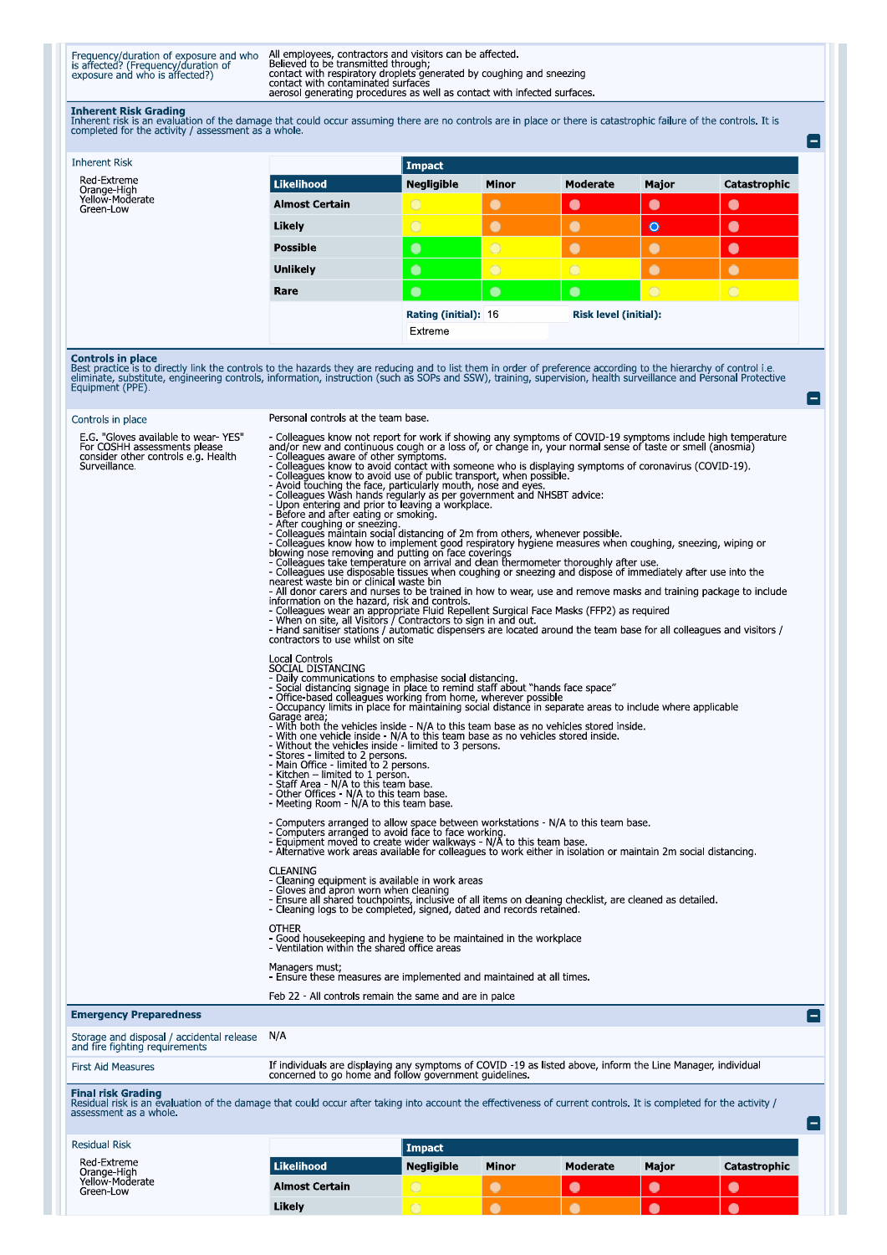Frequency/duration of exposure and who<br>is affected? (Frequency/duration of<br>exposure and who is affected?)

All employees, contractors and visitors can be affected.<br>Believed to be transmitted through;<br>contact with respiratory droplets generated by coughing and sneezing<br>contact with contaminated surfaces<br>aerosol generating proced

 $\blacksquare$ 

E

**Inherent Risk Grading**<br>Inherent risk is an evaluation of the damage that could occur assuming there are no controls are in place or there is catastrophic failure of the controls. It is<br>completed for the activity / assessm

| <b>Inherent Risk</b>                        |                       | Impact                                               |              |            |           |              |  |
|---------------------------------------------|-----------------------|------------------------------------------------------|--------------|------------|-----------|--------------|--|
| Red-Extreme                                 | Likelihood            | <b>Negligible</b>                                    | <b>Minor</b> | Moderate   | Major     | Catastrophic |  |
| Orange-High<br>Yellow-Moderate<br>Green-Low | <b>Almost Certain</b> | $\circ$                                              | $\bullet$    | $\bullet$  | $\bullet$ | $\bullet$    |  |
|                                             | Likely                | $\overline{O}$                                       | $\bullet$    | $\bullet$  | $\bullet$ | $\bullet$    |  |
|                                             | <b>Possible</b>       | $\bullet$                                            | $\circ$      | $\bullet$  | ۰         | $\bullet$    |  |
|                                             | <b>Unlikely</b>       | $\bullet$                                            | $\circ$      | $\bigcirc$ |           |              |  |
|                                             | Rare                  | $\bullet$                                            | $\bullet$    | $\bullet$  | $\circ$   | $\bigcirc$   |  |
|                                             |                       | <b>Risk level (initial):</b><br>Rating (initial): 16 |              |            |           |              |  |
|                                             |                       | Extreme                                              |              |            |           |              |  |

**Controls in place**<br>Best practice is to directly link the controls to the hazards they are reducing and to list them in order of preference according to the hierarchy of control i.e.<br>eliminate, substitute, engineering cont

| Controls in place                                                                                                                                                                                                        | Personal controls at the team base.                                                                                                                                                                                                                                                                                                                                                                                                                                                                                                                                                                                                                                                                                                                                                                                                                                                                                                                                                                                                                                                                                                                                                                                                                                                                                                                                                                                                                                                                                                                                                                                                  |                   |           |           |           |              |                |
|--------------------------------------------------------------------------------------------------------------------------------------------------------------------------------------------------------------------------|--------------------------------------------------------------------------------------------------------------------------------------------------------------------------------------------------------------------------------------------------------------------------------------------------------------------------------------------------------------------------------------------------------------------------------------------------------------------------------------------------------------------------------------------------------------------------------------------------------------------------------------------------------------------------------------------------------------------------------------------------------------------------------------------------------------------------------------------------------------------------------------------------------------------------------------------------------------------------------------------------------------------------------------------------------------------------------------------------------------------------------------------------------------------------------------------------------------------------------------------------------------------------------------------------------------------------------------------------------------------------------------------------------------------------------------------------------------------------------------------------------------------------------------------------------------------------------------------------------------------------------------|-------------------|-----------|-----------|-----------|--------------|----------------|
| E.G. "Gloves available to wear-YES"<br>For COSHH assessments please<br>consider other controls e.g. Health<br>Surveillance.                                                                                              | - Colleagues know not report for work if showing any symptoms of COVID-19 symptoms include high temperature<br>and/or new and continuous cough or a loss of, or change in, your normal sense of taste or smell (anosmia)<br>- Colleagues aware of other symptoms.<br>- Colleagues know to avoid contact with someone who is displaying symptoms of coronavirus (COVID-19).<br>- Colleagues know to avoid use of public transport, when possible.<br>- Avoid fouching the face, particularly mouth, nose and eyes.<br>- Avoid fouching the face, particularly mouth, nose and eyes.<br>- Colleagues Wash hands regu<br>- After coughing or sneezing.<br>- Colleagues maintain social distancing of 2m from others, whenever possible.<br>- Colleagues know how to implement good respiratory hygiene measures when coughing, sneezing, wiping or<br>blowing nose removing and putting on face coverings<br>- Colleagues take temperature on arrival and clean thermometer tho<br>- Colleagues use disposable tissues when coughing or sneezing and dispose of immediately after use into the<br>nearest waste bin or clinical waste bin<br>- All donor carers and nurses to be trained in how to wear, use and remove masks and training package to include<br>information on the hazard, risk and controls.<br>- Colleagues wear an appropriate Fluid Repellent Surgical Face Masks (FFP2) as required<br>- When on site, all Visitors / Contractors to sign in and out.<br>- Hand sanitiser stations / automatic dispensers are located around the team base for all colleagues and visitors /<br>contractors to use whilst on site |                   |           |           |           |              |                |
|                                                                                                                                                                                                                          | <b>Local Controls</b><br>SOCIAL DISTANCING<br>- Daily communications to emphasise social distancing.<br>- Social distancing signage in place to remind staff about "hands face space"<br>- Office-based colleagues working from home, wherever possible<br>- Occupancy limits in place for maintaining social distance in separate areas to include where applicable<br>Garage area,<br>- With both the vehicles inside - N/A to this team base as no vehicles stored inside.<br>- With one vehicle inside - N/A to this team base as no vehicles stored inside.<br>- Without the vehicles inside - limited to 3 persons.<br>- Stores - limited to 2 persons.<br>- Main Office - limited to 2 persons.<br>- Kitchen - limited to 1 person.<br>- Staff Area - N/A to this team base.<br>- Other Offices - N/A to this team base.<br>- Meeting Room - N/A to this team base.                                                                                                                                                                                                                                                                                                                                                                                                                                                                                                                                                                                                                                                                                                                                                           |                   |           |           |           |              |                |
|                                                                                                                                                                                                                          | - Computers arranged to allow space between workstations - N/A to this team base.<br>- Computers arranged to avoid face to face working.<br>- Equipment moved to create wider walkways - N/A to this team base.<br>- Alternative work areas available for colleagues to work either in isolation or maintain 2m social distancing.<br><b>CLEANING</b><br>- Cleaning equipment is available in work areas<br>- Gloves and apron worn when cleaning<br>- Ensure all shared touchpoints, inclusive of all items on cleaning checklist, are cleaned as detailed.<br>- Cleaning logs to be completed, signed, dated and records retained.<br><b>OTHER</b><br>- Good housekeeping and hygiene to be maintained in the workplace                                                                                                                                                                                                                                                                                                                                                                                                                                                                                                                                                                                                                                                                                                                                                                                                                                                                                                            |                   |           |           |           |              |                |
|                                                                                                                                                                                                                          | - Ventilation within the shared office areas<br>Managers must;<br>- Ensure these measures are implemented and maintained at all times.                                                                                                                                                                                                                                                                                                                                                                                                                                                                                                                                                                                                                                                                                                                                                                                                                                                                                                                                                                                                                                                                                                                                                                                                                                                                                                                                                                                                                                                                                               |                   |           |           |           |              |                |
| <b>Emergency Preparedness</b>                                                                                                                                                                                            | Feb 22 - All controls remain the same and are in palce                                                                                                                                                                                                                                                                                                                                                                                                                                                                                                                                                                                                                                                                                                                                                                                                                                                                                                                                                                                                                                                                                                                                                                                                                                                                                                                                                                                                                                                                                                                                                                               |                   |           |           |           |              |                |
| Storage and disposal / accidental release<br>and fire fighting requirements                                                                                                                                              | N/A                                                                                                                                                                                                                                                                                                                                                                                                                                                                                                                                                                                                                                                                                                                                                                                                                                                                                                                                                                                                                                                                                                                                                                                                                                                                                                                                                                                                                                                                                                                                                                                                                                  |                   |           |           |           |              |                |
| <b>First Aid Measures</b>                                                                                                                                                                                                | If individuals are displaying any symptoms of COVID -19 as listed above, inform the Line Manager, individual<br>concerned to go home and follow government guidelines.                                                                                                                                                                                                                                                                                                                                                                                                                                                                                                                                                                                                                                                                                                                                                                                                                                                                                                                                                                                                                                                                                                                                                                                                                                                                                                                                                                                                                                                               |                   |           |           |           |              |                |
| <b>Final risk Grading</b><br>Residual risk is an evaluation of the damage that could occur after taking into account the effectiveness of current controls. It is completed for the activity /<br>assessment as a whole. |                                                                                                                                                                                                                                                                                                                                                                                                                                                                                                                                                                                                                                                                                                                                                                                                                                                                                                                                                                                                                                                                                                                                                                                                                                                                                                                                                                                                                                                                                                                                                                                                                                      |                   |           |           |           |              | $\blacksquare$ |
| <b>Residual Risk</b>                                                                                                                                                                                                     |                                                                                                                                                                                                                                                                                                                                                                                                                                                                                                                                                                                                                                                                                                                                                                                                                                                                                                                                                                                                                                                                                                                                                                                                                                                                                                                                                                                                                                                                                                                                                                                                                                      | <b>Impact</b>     |           |           |           |              |                |
| Red-Extreme                                                                                                                                                                                                              | <b>Likelihood</b>                                                                                                                                                                                                                                                                                                                                                                                                                                                                                                                                                                                                                                                                                                                                                                                                                                                                                                                                                                                                                                                                                                                                                                                                                                                                                                                                                                                                                                                                                                                                                                                                                    | <b>Negligible</b> | Minor     | Moderate  | Major     | Catastrophic | $\blacksquare$ |
| Orange-High<br>Yellow-Moderate<br>Green-Low                                                                                                                                                                              | <b>Almost Certain</b>                                                                                                                                                                                                                                                                                                                                                                                                                                                                                                                                                                                                                                                                                                                                                                                                                                                                                                                                                                                                                                                                                                                                                                                                                                                                                                                                                                                                                                                                                                                                                                                                                | $\bigcirc$        | $\bullet$ | $\bullet$ | $\bullet$ | $\bullet$    |                |
|                                                                                                                                                                                                                          |                                                                                                                                                                                                                                                                                                                                                                                                                                                                                                                                                                                                                                                                                                                                                                                                                                                                                                                                                                                                                                                                                                                                                                                                                                                                                                                                                                                                                                                                                                                                                                                                                                      |                   |           |           |           |              |                |

c

О

Likely